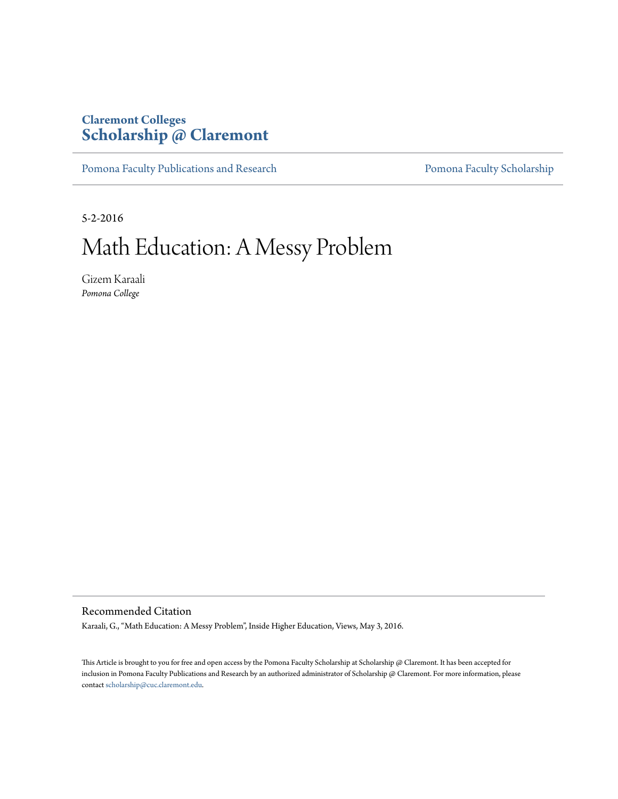### **Claremont Colleges [Scholarship @ Claremont](http://scholarship.claremont.edu)**

[Pomona Faculty Publications and Research](http://scholarship.claremont.edu/pomona_fac_pub) [Pomona Faculty Scholarship](http://scholarship.claremont.edu/pomona_faculty)

5-2-2016

# Math Education: A Messy Problem

Gizem Karaali *Pomona College*

Recommended Citation

Karaali, G., "Math Education: A Messy Problem", Inside Higher Education, Views, May 3, 2016.

This Article is brought to you for free and open access by the Pomona Faculty Scholarship at Scholarship @ Claremont. It has been accepted for inclusion in Pomona Faculty Publications and Research by an authorized administrator of Scholarship @ Claremont. For more information, please contact [scholarship@cuc.claremont.edu](mailto:scholarship@cuc.claremont.edu).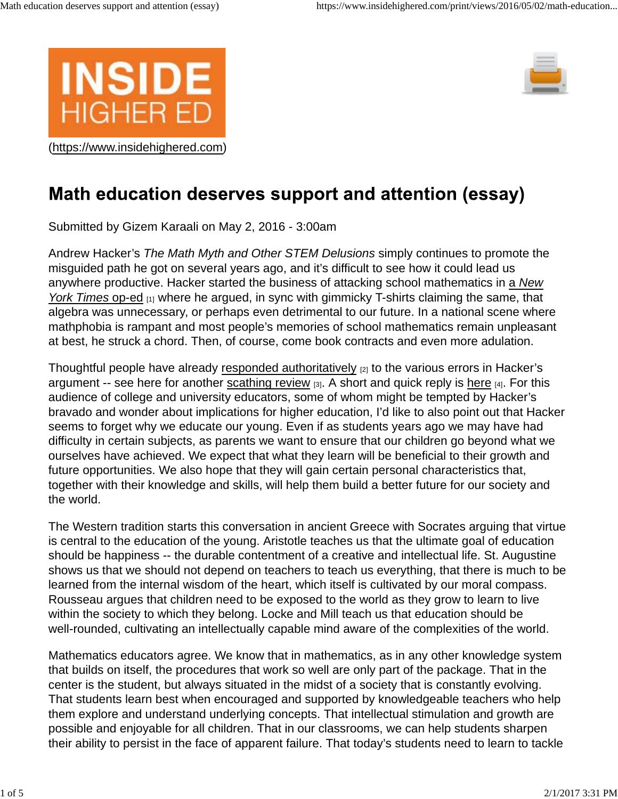





## Math education deserves support and attention (essay)

Submitted by Gizem Karaali on May 2, 2016 - 3:00am

Andrew Hacker's *The Math Myth and Other STEM Delusions* simply continues to promote the misguided path he got on several years ago, and it's difficult to see how it could lead us anywhere productive. Hacker started the business of attacking school mathematics in a *New York Times* op-ed <sub>[1]</sub> where he argued, in sync with gimmicky T-shirts claiming the same, that algebra was unnecessary, or perhaps even detrimental to our future. In a national scene where mathphobia is rampant and most people's memories of school mathematics remain unpleasant at best, he struck a chord. Then, of course, come book contracts and even more adulation.

Thoughtful people have already responded authoritatively [2] to the various errors in Hacker's argument -- see here for another scathing review  $_{[3]}$ . A short and quick reply is here  $_{[4]}$ . For this audience of college and university educators, some of whom might be tempted by Hacker's bravado and wonder about implications for higher education, I'd like to also point out that Hacker seems to forget why we educate our young. Even if as students years ago we may have had difficulty in certain subjects, as parents we want to ensure that our children go beyond what we ourselves have achieved. We expect that what they learn will be beneficial to their growth and future opportunities. We also hope that they will gain certain personal characteristics that, together with their knowledge and skills, will help them build a better future for our society and the world.

The Western tradition starts this conversation in ancient Greece with Socrates arguing that virtue is central to the education of the young. Aristotle teaches us that the ultimate goal of education should be happiness -- the durable contentment of a creative and intellectual life. St. Augustine shows us that we should not depend on teachers to teach us everything, that there is much to be learned from the internal wisdom of the heart, which itself is cultivated by our moral compass. Rousseau argues that children need to be exposed to the world as they grow to learn to live within the society to which they belong. Locke and Mill teach us that education should be well-rounded, cultivating an intellectually capable mind aware of the complexities of the world.

Mathematics educators agree. We know that in mathematics, as in any other knowledge system that builds on itself, the procedures that work so well are only part of the package. That in the center is the student, but always situated in the midst of a society that is constantly evolving. That students learn best when encouraged and supported by knowledgeable teachers who help them explore and understand underlying concepts. That intellectual stimulation and growth are possible and enjoyable for all children. That in our classrooms, we can help students sharpen their ability to persist in the face of apparent failure. That today's students need to learn to tackle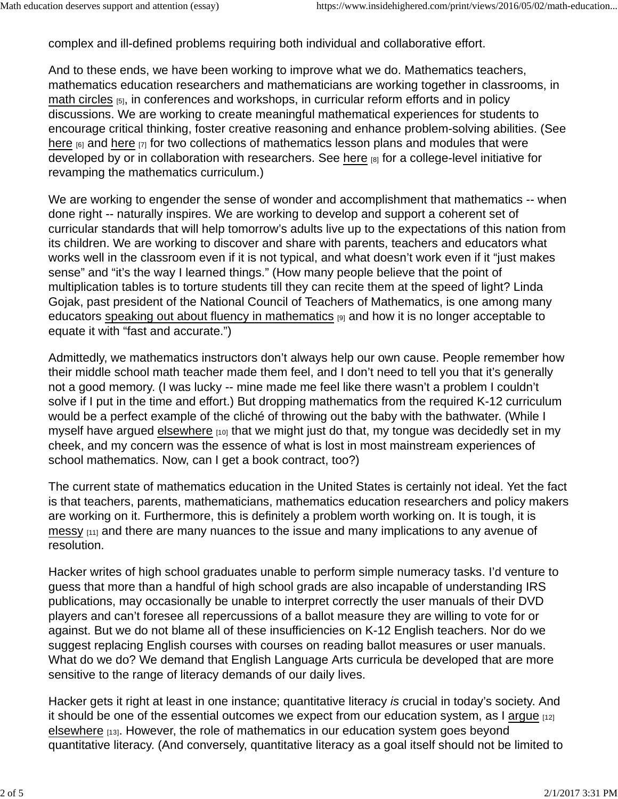complex and ill-defined problems requiring both individual and collaborative effort.

And to these ends, we have been working to improve what we do. Mathematics teachers, mathematics education researchers and mathematicians are working together in classrooms, in math circles [5], in conferences and workshops, in curricular reform efforts and in policy discussions. We are working to create meaningful mathematical experiences for students to encourage critical thinking, foster creative reasoning and enhance problem-solving abilities. (See here  $_{[6]}$  and here  $_{[7]}$  for two collections of mathematics lesson plans and modules that were developed by or in collaboration with researchers. See here [8] for a college-level initiative for revamping the mathematics curriculum.)

We are working to engender the sense of wonder and accomplishment that mathematics -- when done right -- naturally inspires. We are working to develop and support a coherent set of curricular standards that will help tomorrow's adults live up to the expectations of this nation from its children. We are working to discover and share with parents, teachers and educators what works well in the classroom even if it is not typical, and what doesn't work even if it "just makes sense" and "it's the way I learned things." (How many people believe that the point of multiplication tables is to torture students till they can recite them at the speed of light? Linda Gojak, past president of the National Council of Teachers of Mathematics, is one among many educators speaking out about fluency in mathematics  $_{[9]}$  and how it is no longer acceptable to equate it with "fast and accurate.")

Admittedly, we mathematics instructors don't always help our own cause. People remember how their middle school math teacher made them feel, and I don't need to tell you that it's generally not a good memory. (I was lucky -- mine made me feel like there wasn't a problem I couldn't solve if I put in the time and effort.) But dropping mathematics from the required K-12 curriculum would be a perfect example of the cliché of throwing out the baby with the bathwater. (While I myself have argued elsewhere [10] that we might just do that, my tongue was decidedly set in my cheek, and my concern was the essence of what is lost in most mainstream experiences of school mathematics. Now, can I get a book contract, too?)

The current state of mathematics education in the United States is certainly not ideal. Yet the fact is that teachers, parents, mathematicians, mathematics education researchers and policy makers are working on it. Furthermore, this is definitely a problem worth working on. It is tough, it is messy  $[11]$  and there are many nuances to the issue and many implications to any avenue of resolution.

Hacker writes of high school graduates unable to perform simple numeracy tasks. I'd venture to guess that more than a handful of high school grads are also incapable of understanding IRS publications, may occasionally be unable to interpret correctly the user manuals of their DVD players and can't foresee all repercussions of a ballot measure they are willing to vote for or against. But we do not blame all of these insufficiencies on K-12 English teachers. Nor do we suggest replacing English courses with courses on reading ballot measures or user manuals. What do we do? We demand that English Language Arts curricula be developed that are more sensitive to the range of literacy demands of our daily lives.

Hacker gets it right at least in one instance; quantitative literacy *is* crucial in today's society. And it should be one of the essential outcomes we expect from our education system, as I argue  $[12]$ elsewhere [13]. However, the role of mathematics in our education system goes beyond quantitative literacy. (And conversely, quantitative literacy as a goal itself should not be limited to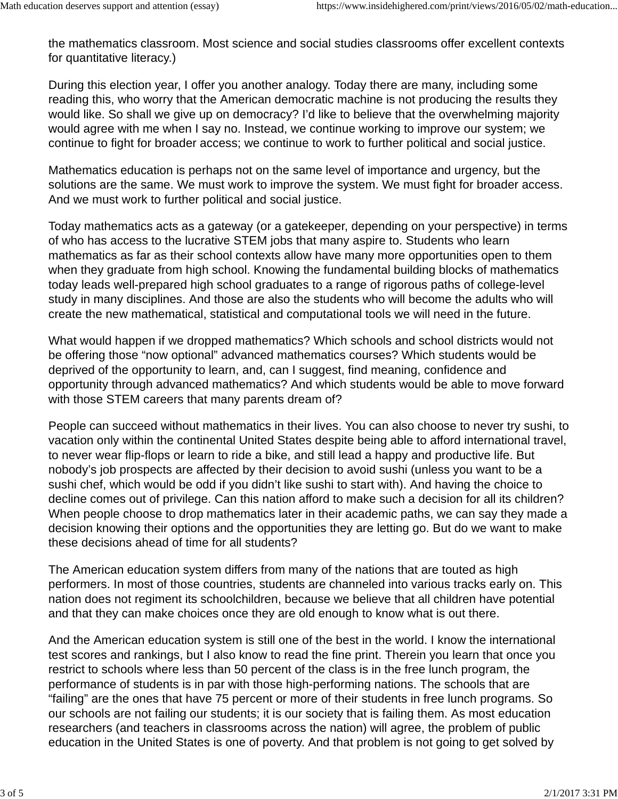the mathematics classroom. Most science and social studies classrooms offer excellent contexts for quantitative literacy.)

During this election year, I offer you another analogy. Today there are many, including some reading this, who worry that the American democratic machine is not producing the results they would like. So shall we give up on democracy? I'd like to believe that the overwhelming majority would agree with me when I say no. Instead, we continue working to improve our system; we continue to fight for broader access; we continue to work to further political and social justice.

Mathematics education is perhaps not on the same level of importance and urgency, but the solutions are the same. We must work to improve the system. We must fight for broader access. And we must work to further political and social justice.

Today mathematics acts as a gateway (or a gatekeeper, depending on your perspective) in terms of who has access to the lucrative STEM jobs that many aspire to. Students who learn mathematics as far as their school contexts allow have many more opportunities open to them when they graduate from high school. Knowing the fundamental building blocks of mathematics today leads well-prepared high school graduates to a range of rigorous paths of college-level study in many disciplines. And those are also the students who will become the adults who will create the new mathematical, statistical and computational tools we will need in the future.

What would happen if we dropped mathematics? Which schools and school districts would not be offering those "now optional" advanced mathematics courses? Which students would be deprived of the opportunity to learn, and, can I suggest, find meaning, confidence and opportunity through advanced mathematics? And which students would be able to move forward with those STEM careers that many parents dream of?

People can succeed without mathematics in their lives. You can also choose to never try sushi, to vacation only within the continental United States despite being able to afford international travel, to never wear flip-flops or learn to ride a bike, and still lead a happy and productive life. But nobody's job prospects are affected by their decision to avoid sushi (unless you want to be a sushi chef, which would be odd if you didn't like sushi to start with). And having the choice to decline comes out of privilege. Can this nation afford to make such a decision for all its children? When people choose to drop mathematics later in their academic paths, we can say they made a decision knowing their options and the opportunities they are letting go. But do we want to make these decisions ahead of time for all students?

The American education system differs from many of the nations that are touted as high performers. In most of those countries, students are channeled into various tracks early on. This nation does not regiment its schoolchildren, because we believe that all children have potential and that they can make choices once they are old enough to know what is out there.

And the American education system is still one of the best in the world. I know the international test scores and rankings, but I also know to read the fine print. Therein you learn that once you restrict to schools where less than 50 percent of the class is in the free lunch program, the performance of students is in par with those high-performing nations. The schools that are "failing" are the ones that have 75 percent or more of their students in free lunch programs. So our schools are not failing our students; it is our society that is failing them. As most education researchers (and teachers in classrooms across the nation) will agree, the problem of public education in the United States is one of poverty. And that problem is not going to get solved by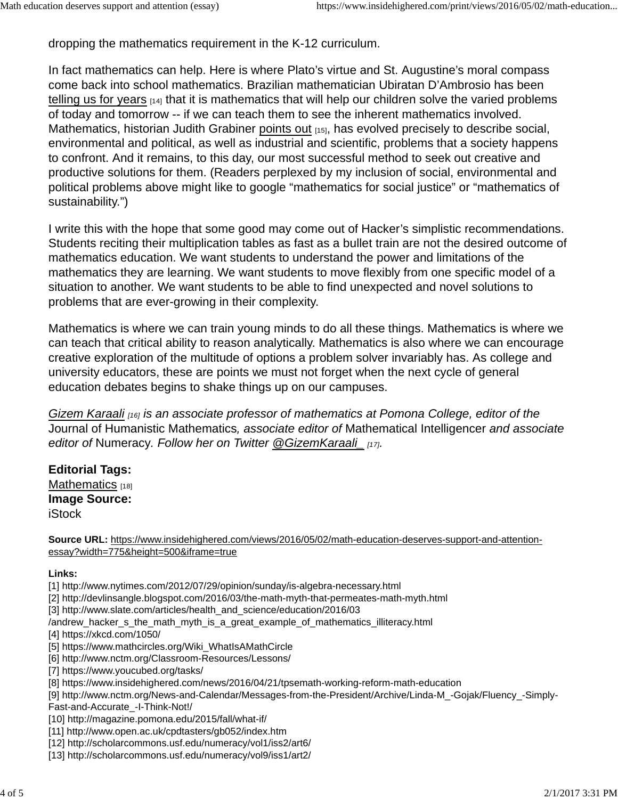dropping the mathematics requirement in the K-12 curriculum.

In fact mathematics can help. Here is where Plato's virtue and St. Augustine's moral compass come back into school mathematics. Brazilian mathematician Ubiratan D'Ambrosio has been telling us for years  $[14]$  that it is mathematics that will help our children solve the varied problems of today and tomorrow -- if we can teach them to see the inherent mathematics involved. Mathematics, historian Judith Grabiner points out [15], has evolved precisely to describe social, environmental and political, as well as industrial and scientific, problems that a society happens to confront. And it remains, to this day, our most successful method to seek out creative and productive solutions for them. (Readers perplexed by my inclusion of social, environmental and political problems above might like to google "mathematics for social justice" or "mathematics of sustainability.")

I write this with the hope that some good may come out of Hacker's simplistic recommendations. Students reciting their multiplication tables as fast as a bullet train are not the desired outcome of mathematics education. We want students to understand the power and limitations of the mathematics they are learning. We want students to move flexibly from one specific model of a situation to another. We want students to be able to find unexpected and novel solutions to problems that are ever-growing in their complexity.

Mathematics is where we can train young minds to do all these things. Mathematics is where we can teach that critical ability to reason analytically. Mathematics is also where we can encourage creative exploration of the multitude of options a problem solver invariably has. As college and university educators, these are points we must not forget when the next cycle of general education debates begins to shake things up on our campuses.

*Gizem Karaali [16] is an associate professor of mathematics at Pomona College, editor of the* Journal of Humanistic Mathematics*, associate editor of* Mathematical Intelligencer *and associate editor of* Numeracy*. Follow her on Twitter @GizemKaraali\_ [17].*

### **Editorial Tags:**  Mathematics [18] **Image Source:**

**iStock** 

**Source URL:** https://www.insidehighered.com/views/2016/05/02/math-education-deserves-support-and-attentionessay?width=775&height=500&iframe=true

#### **Links:**

- [1] http://www.nytimes.com/2012/07/29/opinion/sunday/is-algebra-necessary.html
- [2] http://devlinsangle.blogspot.com/2016/03/the-math-myth-that-permeates-math-myth.html
- [3] http://www.slate.com/articles/health\_and\_science/education/2016/03
- /andrew\_hacker\_s\_the\_math\_myth\_is\_a\_great\_example\_of\_mathematics\_illiteracy.html
- [4] https://xkcd.com/1050/
- [5] https://www.mathcircles.org/Wiki\_WhatIsAMathCircle
- [6] http://www.nctm.org/Classroom-Resources/Lessons/
- [7] https://www.youcubed.org/tasks/
- [8] https://www.insidehighered.com/news/2016/04/21/tpsemath-working-reform-math-education
- [9] http://www.nctm.org/News-and-Calendar/Messages-from-the-President/Archive/Linda-M\_-Gojak/Fluency\_-Simply-
- Fast-and-Accurate\_-I-Think-Not!/
- [10] http://magazine.pomona.edu/2015/fall/what-if/
- [11] http://www.open.ac.uk/cpdtasters/gb052/index.htm
- [12] http://scholarcommons.usf.edu/numeracy/vol1/iss2/art6/
- [13] http://scholarcommons.usf.edu/numeracy/vol9/iss1/art2/